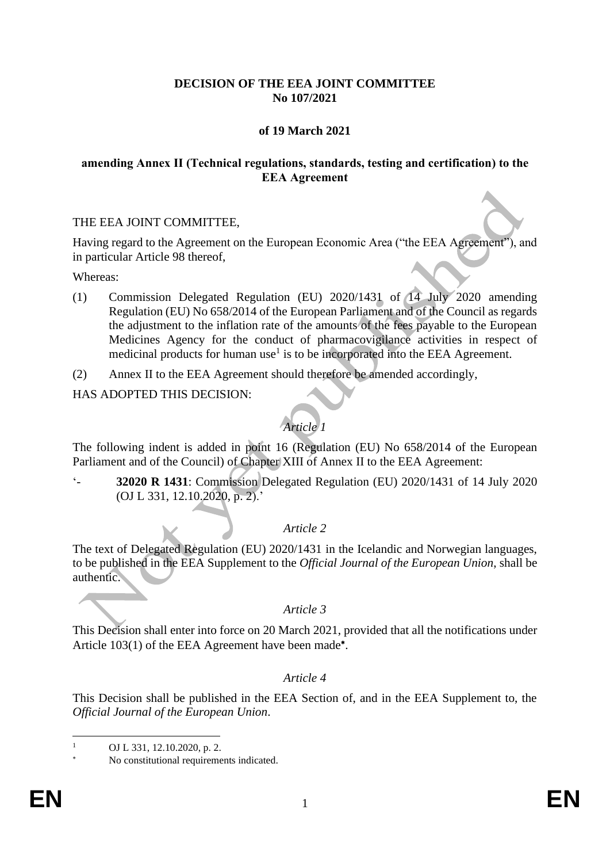### **DECISION OF THE EEA JOINT COMMITTEE No 107/2021**

## **of 19 March 2021**

#### **amending Annex II (Technical regulations, standards, testing and certification) to the EEA Agreement**

#### THE EEA JOINT COMMITTEE,

Having regard to the Agreement on the European Economic Area ("the EEA Agreement"), and in particular Article 98 thereof,

Whereas:

- (1) Commission Delegated Regulation (EU) 2020/1431 of 14 July 2020 amending Regulation (EU) No 658/2014 of the European Parliament and of the Council as regards the adjustment to the inflation rate of the amounts of the fees payable to the European Medicines Agency for the conduct of pharmacovigilance activities in respect of medicinal products for human use<sup>1</sup> is to be incorporated into the EEA Agreement.
- (2) Annex II to the EEA Agreement should therefore be amended accordingly,

#### HAS ADOPTED THIS DECISION:

# *Article 1*

The following indent is added in point 16 (Regulation (EU) No 658/2014 of the European Parliament and of the Council) of Chapter XIII of Annex II to the EEA Agreement:

'- **32020 R 1431**: Commission Delegated Regulation (EU) 2020/1431 of 14 July 2020 (OJ L 331, 12.10.2020, p. 2).'

# *Article 2*

The text of Delegated Regulation (EU) 2020/1431 in the Icelandic and Norwegian languages, to be published in the EEA Supplement to the *Official Journal of the European Union*, shall be authentic.

# *Article 3*

This Decision shall enter into force on 20 March 2021, provided that all the notifications under Article 103(1) of the EEA Agreement have been made<sup>\*</sup>.

# *Article 4*

This Decision shall be published in the EEA Section of, and in the EEA Supplement to, the *Official Journal of the European Union*.

OJ L 331, 12.10.2020, p. 2.

No constitutional requirements indicated.